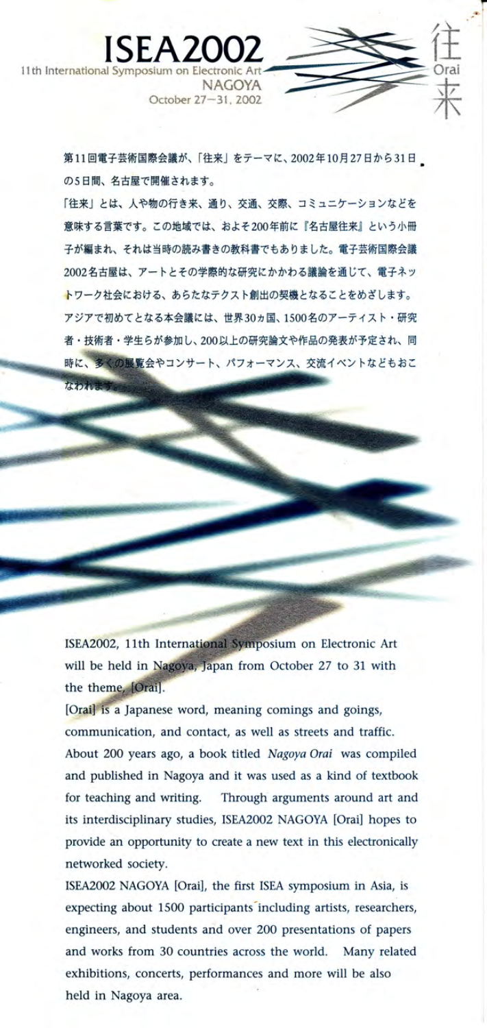第11回電子芸術国際会議が、「往来」をテーマに、2002年10月27日から31日 の5日間、名古屋で開催されます。

NAGOYA October 27-31, 2002

ISEA2

11th International 9

「往来」とは、人や物の行き来、通り、交通、交際、コミュニケーションなどを 意味する言葉です。この地域では、およそ200年前に『名古屋往来』という小冊 子が編まれ、それは当時の読み書きの教科書でもありました。電子芸術国際会議 2002名古屋は、アートとその学際的な研究にかかわる議論を通じて、電子ネッ トワーク社会における、あらたなテクスト創出の契機となることをめざします。 アジアで初めてとなる本会議には、世界30ヵ国、1500名のアーティスト・研究 者·技術者·学生らが参加し、200以上の研究論文や作品の発表が予定され、同 時に、多くの展覧会やコンサート、パフォーマンス、交流イベントなどもおこ

ISEA2002, 11th International Symposium on Electronic Art will be held in Nagoya, Japan from October 27 to 31 with the theme, [Orai].

[Orai] is a Japanese word, meaning comings and goings, communication, and contact, as well as streets and traffic. About 200 years ago, a book titled Nagoya Orai was compiled and published in Nagoya and it was used as a kind of textbook for teaching and writing. Through arguments around art and its interdisciplinary studies, ISEA2002 NAGOYA [Orai] hopes to provide an opportunity to create a new text in this electronically networked society.

ISEA2002 NAGOYA [Orai], the first ISEA symposium in Asia, is expecting about 1500 participants including artists, researchers, engineers, and students and over 200 presentations of papers and works from 30 countries across the world. Many related exhibitions, concerts, performances and more will be also held in Nagoya area.